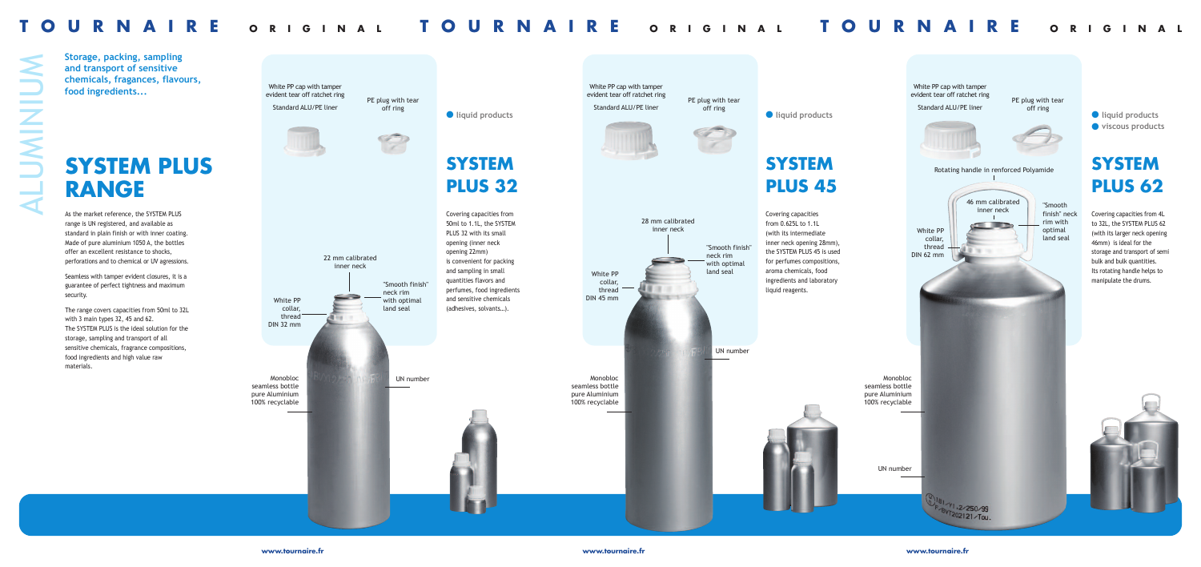

**www.tournaire.fr www.tournaire.fr www.tournaire.fr**

As the market reference, the SYSTEM PLUS range is UN registered, and available as standard in plain finish or with inner coating. Made of pure aluminium 1050 A, the bottles offer an excellent resistance to shocks, perforations and to chemical or UV agressions.

The range covers capacities from 50ml to 32L with 3 main types 32, 45 and 62. The SYSTEM PLUS is the ideal solution for the storage, sampling and transport of all sensitive chemicals, fragrance compositions, food ingredients and high value raw materials.

Seamless with tamper evident closures, it is a guarantee of perfect tightness and maximum security.

## **SYSTEM PLUS**  $\rightarrow$  RANGE

Covering capacities from 50ml to 1.1L, the SYSTEM PLUS 32 with its small opening (inner neck opening 22mm) is convenient for packing and sampling in small quantities flavors and perfumes, food ingredients and sensitive chemicals (adhesives, solvants…).

## **SYSTEM PLUS 32**

**Storage, packing, sampling and transport of sensitive chemicals, fragances, flavours, food ingredients...**



seamless bottle pure Aluminium 100% recyclable

Monobloc seamless bottle pure Aluminium 100% recyclable PE plug with tear off ring

White PP cap with tamper evident tear off ratchet ring Standard ALU/PE liner



White PP collar, thread DIN 32 mm

"Smooth finish" neck rim with optimal land seal

22 mm calibrated inner neck

### $\bullet$  liquid products

UN number